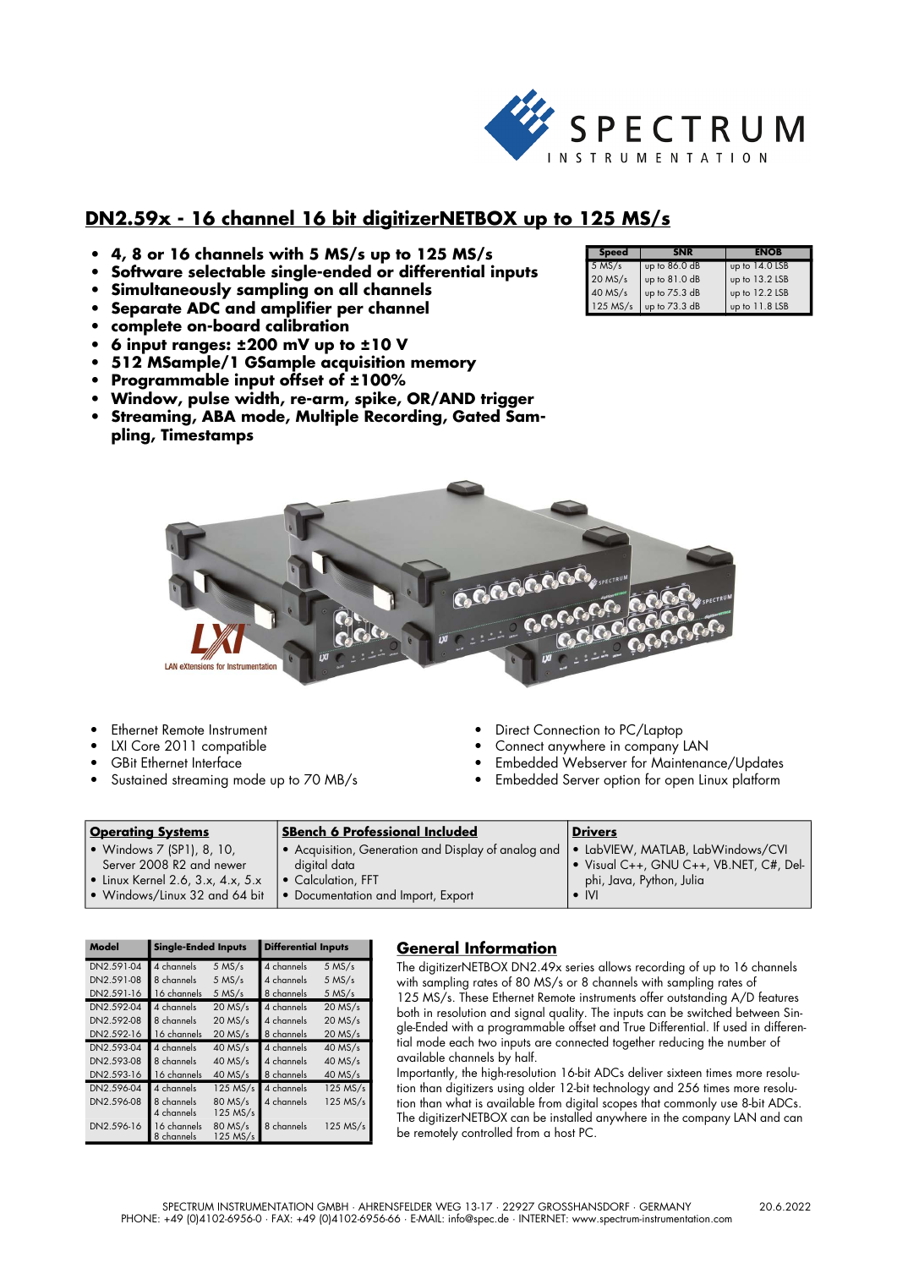

# **DN2.59x - 16 channel 16 bit digitizerNETBOX up to 125 MS/s**

- **4, 8 or 16 channels with 5 MS/s up to 125 MS/s**
- **Software selectable single-ended or differential inputs**
- **Simultaneously sampling on all channels**
- **Separate ADC and amplifier per channel**
- **complete on-board calibration**
- **6 input ranges: ±200 mV up to ±10 V**
- **512 MSample/1 GSample acquisition memory**
- **Programmable input offset of ±100%**
- **Window, pulse width, re-arm, spike, OR/AND trigger**
- **Streaming, ABA mode, Multiple Recording, Gated Sampling, Timestamps**

| <b>Speed</b> |                 | ENOB           |
|--------------|-----------------|----------------|
| $5$ MS/s     | up to $86.0$ dB | up to 14.0 LSB |
| $20$ MS/s    | up to 81.0 dB   | up to 13.2 LSB |
| 40 MS/s      | up to 75.3 dB   | up to 12.2 LSB |
| 125 MS/s     | up to 73.3 dB   | up to 11.8 LSB |



- **Ethernet Remote Instrument**
- LXI Core 2011 compatible
- GBit Ethernet Interface
- Sustained streaming mode up to 70 MB/s
- Direct Connection to PC/Laptop
- Connect anywhere in company LAN
- Embedded Webserver for Maintenance/Updates
- Embedded Server option for open Linux platform

| <b>Operating Systems</b>                  | <b>SBench 6 Professional Included</b>               | <b>Drivers</b>                          |
|-------------------------------------------|-----------------------------------------------------|-----------------------------------------|
| • Windows $7$ (SP1), 8, 10,               | • Acquisition, Generation and Display of analog and | · LabVIEW, MATLAB, LabWindows/CVI       |
| Server 2008 R2 and newer                  | digital data                                        | • Visual C++, GNU C++, VB.NET, C#, Del- |
| $\bullet$ Linux Kernel 2.6, 3.x, 4.x, 5.x | • Calculation, FFT                                  | phi, Java, Python, Julia                |
| • Windows/Linux 32 and 64 bit             | • Documentation and Import, Export                  | $\bullet$ IVI                           |

| Model      | <b>Single-Ended Inputs</b> |                     | <b>Differential Inputs</b> |            |
|------------|----------------------------|---------------------|----------------------------|------------|
| DN2.591-04 | 4 channels                 | $5$ MS/s            | 4 channels                 | $5$ MS/s   |
| DN2.591-08 | 8 channels                 | $5$ MS/s            | 4 channels                 | $5$ MS/s   |
| DN2.591-16 | 16 channels                | $5$ MS/s            | 8 channels                 | $5$ MS/s   |
| DN2.592-04 | 4 channels                 | $20$ MS/s           | 4 channels                 | $20$ MS/s  |
| DN2.592-08 | 8 channels                 | $20$ MS/s           | 4 channels                 | $20$ MS/s  |
| DN2.592-16 | 16 channels                | $20$ MS/s           | 8 channels                 | $20$ MS/s  |
| DN2.593-04 | 4 channels                 | $40$ MS/s           | 4 channels                 | $40$ MS/s  |
| DN2.593-08 | 8 channels                 | $40$ MS/s           | 4 channels                 | $40$ MS/s  |
| DN2.593-16 | 16 channels                | $40$ MS/s           | 8 channels                 | $40$ MS/s  |
| DN2.596-04 | 4 channels                 | 125 MS/s            | 4 channels                 | $125$ MS/s |
| DN2.596-08 | 8 channels<br>4 channels   | 80 MS/s<br>125 MS/s | 4 channels                 | 125 MS/s   |
| DN2.596-16 | 16 channels<br>8 channels  | 80 MS/s<br>125 MS/s | 8 channels                 | $125$ MS/s |

## **General Information**

The digitizerNETBOX DN2.49x series allows recording of up to 16 channels with sampling rates of 80 MS/s or 8 channels with sampling rates of 125 MS/s. These Ethernet Remote instruments offer outstanding A/D features both in resolution and signal quality. The inputs can be switched between Single-Ended with a programmable offset and True Differential. If used in differential mode each two inputs are connected together reducing the number of available channels by half.

Importantly, the high-resolution 16-bit ADCs deliver sixteen times more resolution than digitizers using older 12-bit technology and 256 times more resolution than what is available from digital scopes that commonly use 8-bit ADCs. The digitizerNETBOX can be installed anywhere in the company LAN and can be remotely controlled from a host PC.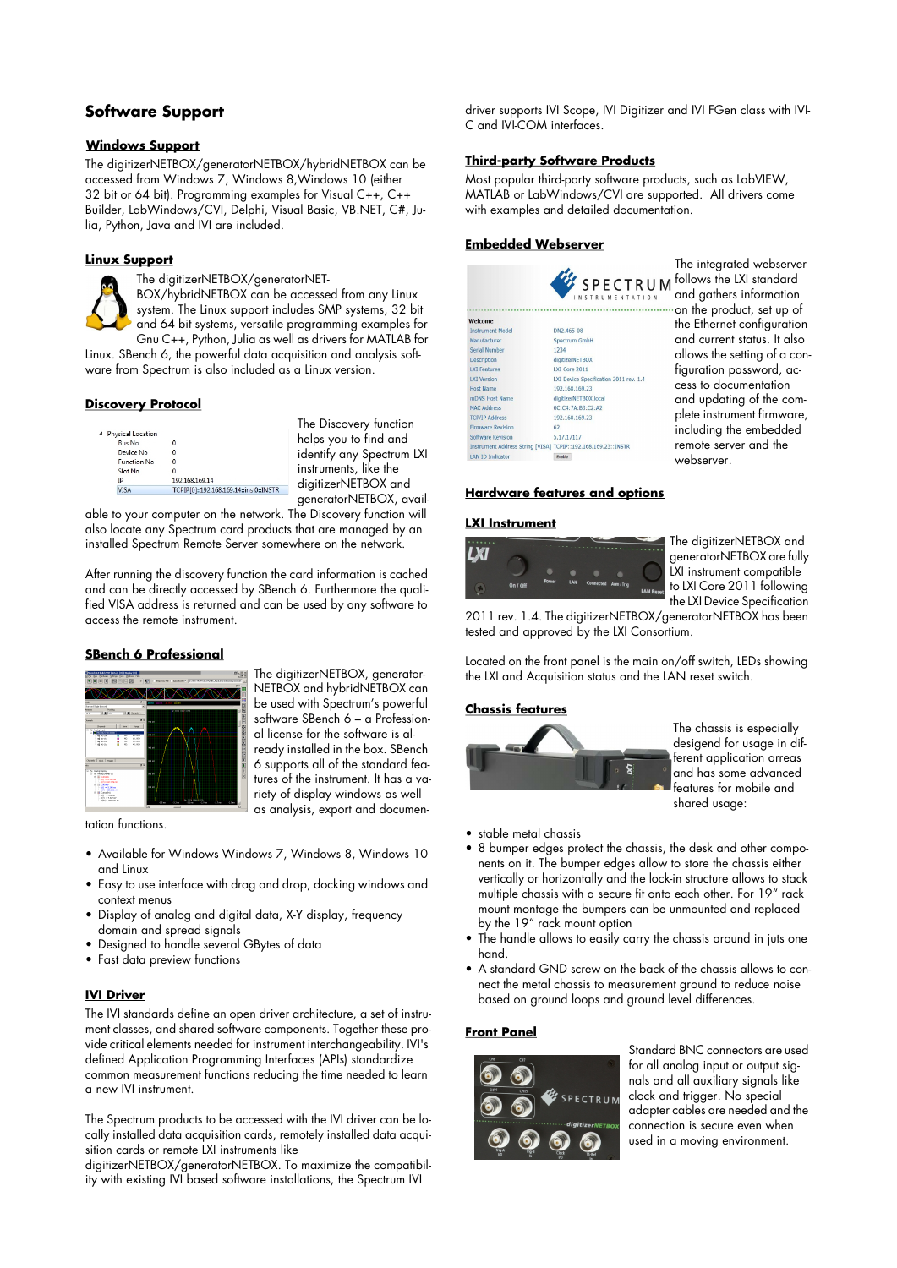# **Software Support**

## **Windows Support**

The digitizerNETBOX/generatorNETBOX/hybridNETBOX can be accessed from Windows 7, Windows 8,Windows 10 (either 32 bit or 64 bit). Programming examples for Visual C++, C++ Builder, LabWindows/CVI, Delphi, Visual Basic, VB.NET, C#, Julia, Python, Java and IVI are included.

## **Linux Support**

The digitizerNETBOX/generatorNET-BOX/hybridNETBOX can be accessed from any Linux system. The Linux support includes SMP systems, 32 bit and 64 bit systems, versatile programming examples for Gnu C++, Python, Julia as well as drivers for MATLAB for

Linux. SBench 6, the powerful data acquisition and analysis software from Spectrum is also included as a Linux version.

### **Discovery Protocol**

| <sup>4</sup> Physical Location |                                        |
|--------------------------------|----------------------------------------|
| <b>Bus No</b>                  |                                        |
| Device No.                     |                                        |
| <b>Function No</b>             |                                        |
| Slot No                        |                                        |
| IP                             | 192.168.169.14                         |
| VISA                           | TCPIP[0]::192.168.169.14::inst0::INSTR |

he Discovery function helps you to find and i<br>entify any Spectrum LXI struments, like the gitizerNETBOX and generatorNETBOX, avail-

able to your computer on the network. The Discovery function will also locate any Spectrum card products that are managed by an installed Spectrum Remote Server somewhere on the network.

After running the discovery function the card information is cached and can be directly accessed by SBench 6. Furthermore the qualified VISA address is returned and can be used by any software to access the remote instrument.

## **SBench 6 Professional**



The digitizerNETBOX, generator-NETBOX and hybridNETBOX can be used with Spectrum's powerful software SBench 6 – a Professional license for the software is already installed in the box. SBench 6 supports all of the standard features of the instrument. It has a variety of display windows as well as analysis, export and documen-

tation functions.

- Available for Windows Windows 7, Windows 8, Windows 10 and Linux
- Easy to use interface with drag and drop, docking windows and context menus
- Display of analog and digital data, X-Y display, frequency domain and spread signals
- Designed to handle several GBytes of data
- Fast data preview functions

## **IVI Driver**

The IVI standards define an open driver architecture, a set of instrument classes, and shared software components. Together these provide critical elements needed for instrument interchangeability. IVI's defined Application Programming Interfaces (APIs) standardize common measurement functions reducing the time needed to learn a new IVI instrument.

The Spectrum products to be accessed with the IVI driver can be locally installed data acquisition cards, remotely installed data acquisition cards or remote LXI instruments like

digitizerNETBOX/generatorNETBOX. To maximize the compatibility with existing IVI based software installations, the Spectrum IVI

driver supports IVI Scope, IVI Digitizer and IVI FGen class with IVI-C and IVI-COM interfaces.

## **Third-party Software Products**

Most popular third-party software products, such as LabVIEW, MATLAB or LabWindows/CVI are supported. All drivers come with examples and detailed documentation.

## **Embedded Webserver**

|                          | <b>SPECTRU</b>                                                |
|--------------------------|---------------------------------------------------------------|
|                          | TRUMENTATIO                                                   |
| Welcome                  |                                                               |
| <b>Instrument Model</b>  | DN2.465-08                                                    |
| Manufacturer             | Spectrum GmbH                                                 |
| <b>Serial Number</b>     | 1234                                                          |
| <b>Description</b>       | digitizerNETBOX                                               |
| <b>IXI Features</b>      | <b>LXI Core 2011</b>                                          |
| <b>LXT Version</b>       | LXI Device Specification 2011 rev. 1.4                        |
| <b>Host Name</b>         | 192.168.169.23                                                |
| mDNS Host Name           | digitizerNETBOX.local                                         |
| <b>MAC Address</b>       | 0C:C4:7A:B3:C2:A2                                             |
| <b>TCP/IP Address</b>    | 192 168 169 23                                                |
| <b>Firmware Revision</b> | 62                                                            |
| <b>Software Revision</b> | 5.17.17117                                                    |
|                          | Instrument Address String [VISA] TCPIP::192.168.169.23::INSTR |
| <b>LAN ID Indicator</b>  | Fnable                                                        |

The integrated webserver M follows the LXI standard and gathers information ..... on the product, set up of the Ethernet configuration and current status. It also allows the setting of a configuration password, access to documentation and updating of the complete instrument firmware, including the embedded remote server and the webserver.

### **Hardware features and options**

### **LXI Instrument**



The digitizerNETBOX and generatorNETBOX are fully LXI instrument compatible to LXI Core 2011 following the LXI Device Specification

2011 rev. 1.4. The digitizerNETBOX/generatorNETBOX has been tested and approved by the LXI Consortium.

Located on the front panel is the main on/off switch, LEDs showing the LXI and Acquisition status and the LAN reset switch.

### **Chassis features**



The chassis is especially desigend for usage in different application arreas and has some advanced features for mobile and shared usage:

- stable metal chassis
- 8 bumper edges protect the chassis, the desk and other components on it. The bumper edges allow to store the chassis either vertically or horizontally and the lock-in structure allows to stack multiple chassis with a secure fit onto each other. For 19" rack mount montage the bumpers can be unmounted and replaced by the 19" rack mount option
- The handle allows to easily carry the chassis around in juts one hand.
- A standard GND screw on the back of the chassis allows to connect the metal chassis to measurement ground to reduce noise based on ground loops and ground level differences.

### **Front Panel**



Standard BNC connectors are used for all analog input or output signals and all auxiliary signals like clock and trigger. No special adapter cables are needed and the connection is secure even when used in a moving environment.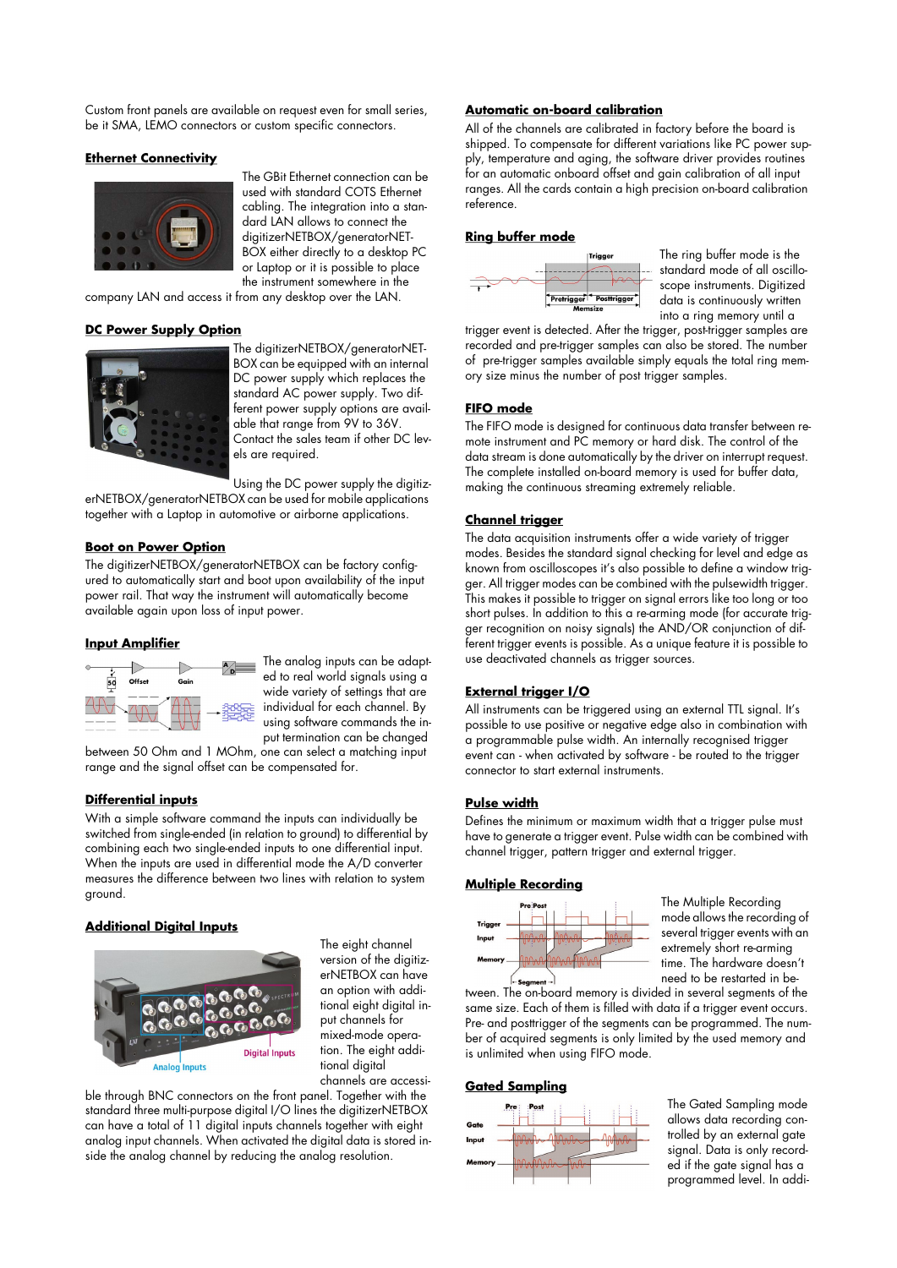Custom front panels are available on request even for small series, be it SMA, LEMO connectors or custom specific connectors.

## **Ethernet Connectivity**



The GBit Ethernet connection can be used with standard COTS Ethernet cabling. The integration into a standard LAN allows to connect the digitizerNETBOX/generatorNET-BOX either directly to a desktop PC or Laptop or it is possible to place the instrument somewhere in the

company LAN and access it from any desktop over the LAN.

## **DC Power Supply Option**



The digitizerNETBOX/generatorNET-BOX can be equipped with an internal DC power supply which replaces the standard AC power supply. Two different power supply options are available that range from 9V to 36V. Contact the sales team if other DC levels are required.

Using the DC power supply the digitiz-

erNETBOX/generatorNETBOX can be used for mobile applications together with a Laptop in automotive or airborne applications.

### **Boot on Power Option**

The digitizerNETBOX/generatorNETBOX can be factory configured to automatically start and boot upon availability of the input power rail. That way the instrument will automatically become available again upon loss of input power.

### **Input Amplifier**



The analog inputs can be adapted to real world signals using a wide variety of settings that are individual for each channel. By using software commands the input termination can be changed

between 50 Ohm and 1 MOhm, one can select a matching input range and the signal offset can be compensated for.

### **Differential inputs**

With a simple software command the inputs can individually be switched from single-ended (in relation to ground) to differential by combining each two single-ended inputs to one differential input. When the inputs are used in differential mode the A/D converter measures the difference between two lines with relation to system ground.

### **Additional Digital Inputs**



The eight channel version of the digitizerNETBOX can have an option with additional eight digital input channels for mixed-mode operation. The eight additional digital channels are accessi-

ble through BNC connectors on the front panel. Together with the standard three multi-purpose digital I/O lines the digitizerNETBOX can have a total of 11 digital inputs channels together with eight analog input channels. When activated the digital data is stored inside the analog channel by reducing the analog resolution.

## **Automatic on-board calibration**

All of the channels are calibrated in factory before the board is shipped. To compensate for different variations like PC power supply, temperature and aging, the software driver provides routines for an automatic onboard offset and gain calibration of all input ranges. All the cards contain a high precision on-board calibration reference.

## **Ring buffer mode**



The ring buffer mode is the standard mode of all oscilloscope instruments. Digitized data is continuously written into a ring memory until a

trigger event is detected. After the trigger, post-trigger samples are recorded and pre-trigger samples can also be stored. The number of pre-trigger samples available simply equals the total ring memory size minus the number of post trigger samples.

### **FIFO mode**

The FIFO mode is designed for continuous data transfer between remote instrument and PC memory or hard disk. The control of the data stream is done automatically by the driver on interrupt request. The complete installed on-board memory is used for buffer data, making the continuous streaming extremely reliable.

## **Channel trigger**

The data acquisition instruments offer a wide variety of trigger modes. Besides the standard signal checking for level and edge as known from oscilloscopes it's also possible to define a window trigger. All trigger modes can be combined with the pulsewidth trigger. This makes it possible to trigger on signal errors like too long or too short pulses. In addition to this a re-arming mode (for accurate trigger recognition on noisy signals) the AND/OR conjunction of different trigger events is possible. As a unique feature it is possible to use deactivated channels as trigger sources.

### **External trigger I/O**

All instruments can be triggered using an external TTL signal. It's possible to use positive or negative edge also in combination with a programmable pulse width. An internally recognised trigger event can - when activated by software - be routed to the trigger connector to start external instruments.

### **Pulse width**

Defines the minimum or maximum width that a trigger pulse must have to generate a trigger event. Pulse width can be combined with channel trigger, pattern trigger and external trigger.

### **Multiple Recording**



The Multiple Recording mode allows the recording of several trigger events with an extremely short re-arming time. The hardware doesn't need to be restarted in be-

tween. The on-board memory is divided in several segments of the same size. Each of them is filled with data if a trigger event occurs. Pre- and posttrigger of the segments can be programmed. The number of acquired segments is only limited by the used memory and is unlimited when using FIFO mode.

## **Gated Sampling**



The Gated Sampling mode allows data recording controlled by an external gate signal. Data is only recorded if the gate signal has a programmed level. In addi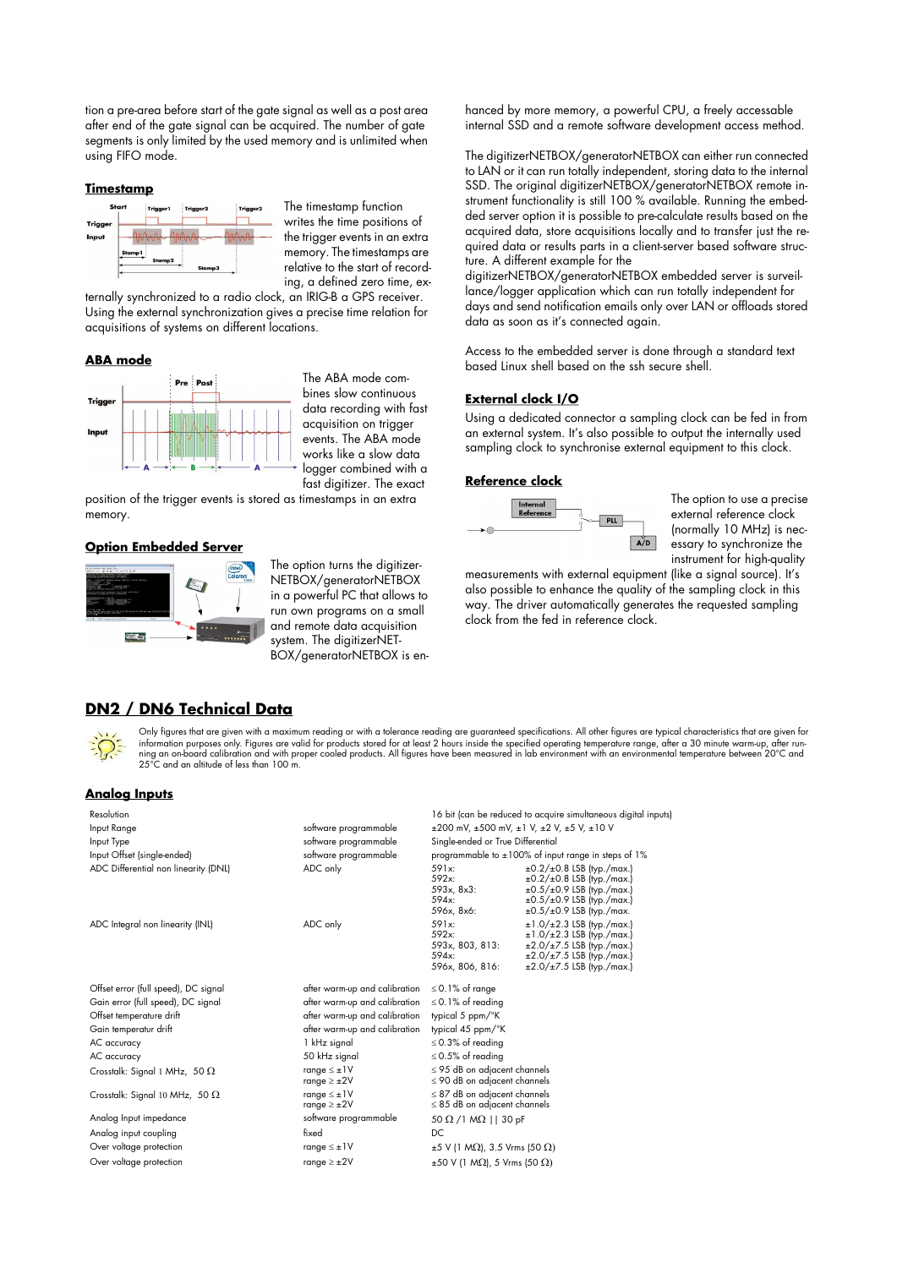tion a pre-area before start of the gate signal as well as a post area after end of the gate signal can be acquired. The number of gate segments is only limited by the used memory and is unlimited when using FIFO mode.

### **Timestamp**



The timestamp function writes the time positions of the trigger events in an extra memory. The timestamps are relative to the start of recording, a defined zero time, ex-

ternally synchronized to a radio clock, an IRIG-B a GPS receiver. Using the external synchronization gives a precise time relation for acquisitions of systems on different locations.

### **ABA mode**



The ABA mode combines slow continuous data recording with fast acquisition on trigger events. The ABA mode works like a slow data logger combined with a fast digitizer. The exact

position of the trigger events is stored as timestamps in an extra memory.

#### **Option Embedded Server**



The option turns the digitizer-NETBOX/generatorNETBOX in a powerful PC that allows to run own programs on a small and remote data acquisition system. The digitizerNET-BOX/generatorNETBOX is enhanced by more memory, a powerful CPU, a freely accessable internal SSD and a remote software development access method.

The digitizerNETBOX/generatorNETBOX can either run connected to LAN or it can run totally independent, storing data to the internal SSD. The original digitizerNETBOX/generatorNETBOX remote instrument functionality is still 100 % available. Running the embedded server option it is possible to pre-calculate results based on the acquired data, store acquisitions locally and to transfer just the required data or results parts in a client-server based software structure. A different example for the

digitizerNETBOX/generatorNETBOX embedded server is surveillance/logger application which can run totally independent for days and send notification emails only over LAN or offloads stored data as soon as it's connected again.

Access to the embedded server is done through a standard text based Linux shell based on the ssh secure shell.

#### **External clock I/O**

Using a dedicated connector a sampling clock can be fed in from an external system. It's also possible to output the internally used sampling clock to synchronise external equipment to this clock.

#### **Reference clock**



The option to use a precise external reference clock (normally 10 MHz) is necessary to synchronize the instrument for high-quality

measurements with external equipment (like a signal source). It's also possible to enhance the quality of the sampling clock in this way. The driver automatically generates the requested sampling clock from the fed in reference clock.

## **DN2 / DN6 Technical Data**



Only figures that are given with a maximum reading or with a tolerance reading are guaranteed specifications. All other figures are typical characteristics that are given for information purposes only. Figures are valid for products stored for at least 2 hours inside the specified operating temperature range, after a 30 minute warm-up, after run ning an on-board calibration and with proper cooled products. All figures have been measured in lab environment with an environmental temperature between 20°C and<br>25°C and an altitude of less than 100 m.

#### **Analog Inputs**

| Resolution                            |                                             |                                                                        | 16 bit (can be reduced to acquire simultaneous digital inputs)                                                                                                                                |
|---------------------------------------|---------------------------------------------|------------------------------------------------------------------------|-----------------------------------------------------------------------------------------------------------------------------------------------------------------------------------------------|
| Input Range                           | software programmable                       |                                                                        | $\pm 200$ mV, $\pm 500$ mV, $\pm 1$ V, $\pm 2$ V, $\pm 5$ V, $\pm 10$ V                                                                                                                       |
| Input Type                            | software programmable                       | Single-ended or True Differential                                      |                                                                                                                                                                                               |
| Input Offset (single-ended)           | software programmable                       |                                                                        | programmable to ±100% of input range in steps of 1%                                                                                                                                           |
| ADC Differential non linearity (DNL)  | ADC only                                    | 591x:<br>592x:<br>593x, 8x3:<br>594x:<br>596x, 8x6:                    | $\pm 0.2/\pm 0.8$ LSB (typ./max.)<br>$\pm 0.2/\pm 0.8$ LSB (typ./max.)<br>$\pm 0.5/\pm 0.9$ LSB (typ./max.)<br>$\pm 0.5/\pm 0.9$ LSB (typ./max.)<br>$\pm 0.5/\pm 0.9$ LSB (typ./max.          |
| ADC Integral non linearity (INL)      | ADC only                                    | 591x:<br>592x:<br>593x, 803, 813:<br>594x:<br>596x, 806, 816:          | $\pm 1.0 / \pm 2.3$ LSB (typ./max.)<br>$\pm 1.0 / \pm 2.3$ LSB (typ./max.)<br>$\pm 2.0/\pm 7.5$ LSB (typ./max.)<br>$\pm 2.0 / \pm 7.5$ LSB (typ./max.)<br>$\pm 2.0 / \pm 7.5$ LSB (typ./max.) |
| Offset error (full speed), DC signal  | after warm-up and calibration               | $\leq$ 0.1% of range                                                   |                                                                                                                                                                                               |
| Gain error (full speed), DC signal    | after warm-up and calibration               | $\leq$ 0.1% of reading                                                 |                                                                                                                                                                                               |
| Offset temperature drift              | after warm-up and calibration               | typical 5 ppm/°K                                                       |                                                                                                                                                                                               |
| Gain temperatur drift                 | after warm-up and calibration               | typical 45 ppm/°K                                                      |                                                                                                                                                                                               |
| AC accuracy                           | 1 kHz signal                                | $\leq$ 0.3% of reading                                                 |                                                                                                                                                                                               |
| AC accuracy                           | 50 kHz signal                               | $\leq$ 0.5% of reading                                                 |                                                                                                                                                                                               |
| Crosstalk: Signal 1 MHz, 50 $\Omega$  | range $\leq \pm 1$ V<br>range $\geq \pm 2V$ | $\leq$ 95 dB on adjacent channels<br>$\leq$ 90 dB on adjacent channels |                                                                                                                                                                                               |
| Crosstalk: Signal 10 MHz, 50 $\Omega$ | range $\leq \pm 1$ V<br>range $\geq \pm 2V$ | $\leq$ 87 dB on adjacent channels<br>$\leq$ 85 dB on adjacent channels |                                                                                                                                                                                               |
| Analog Input impedance                | software programmable                       | 50 $\Omega$ /1 M $\Omega$    30 pF                                     |                                                                                                                                                                                               |
| Analog input coupling                 | fixed                                       | DC.                                                                    |                                                                                                                                                                                               |
| Over voltage protection               | range $\leq \pm 1$ V                        | $\pm$ 5 V (1 M $\Omega$ ), 3.5 Vrms (50 $\Omega$ )                     |                                                                                                                                                                                               |
| Over voltage protection               | range $\geq \pm 2V$                         | $\pm 50$ V (1 M $\Omega$ ), 5 Vrms (50 $\Omega$ )                      |                                                                                                                                                                                               |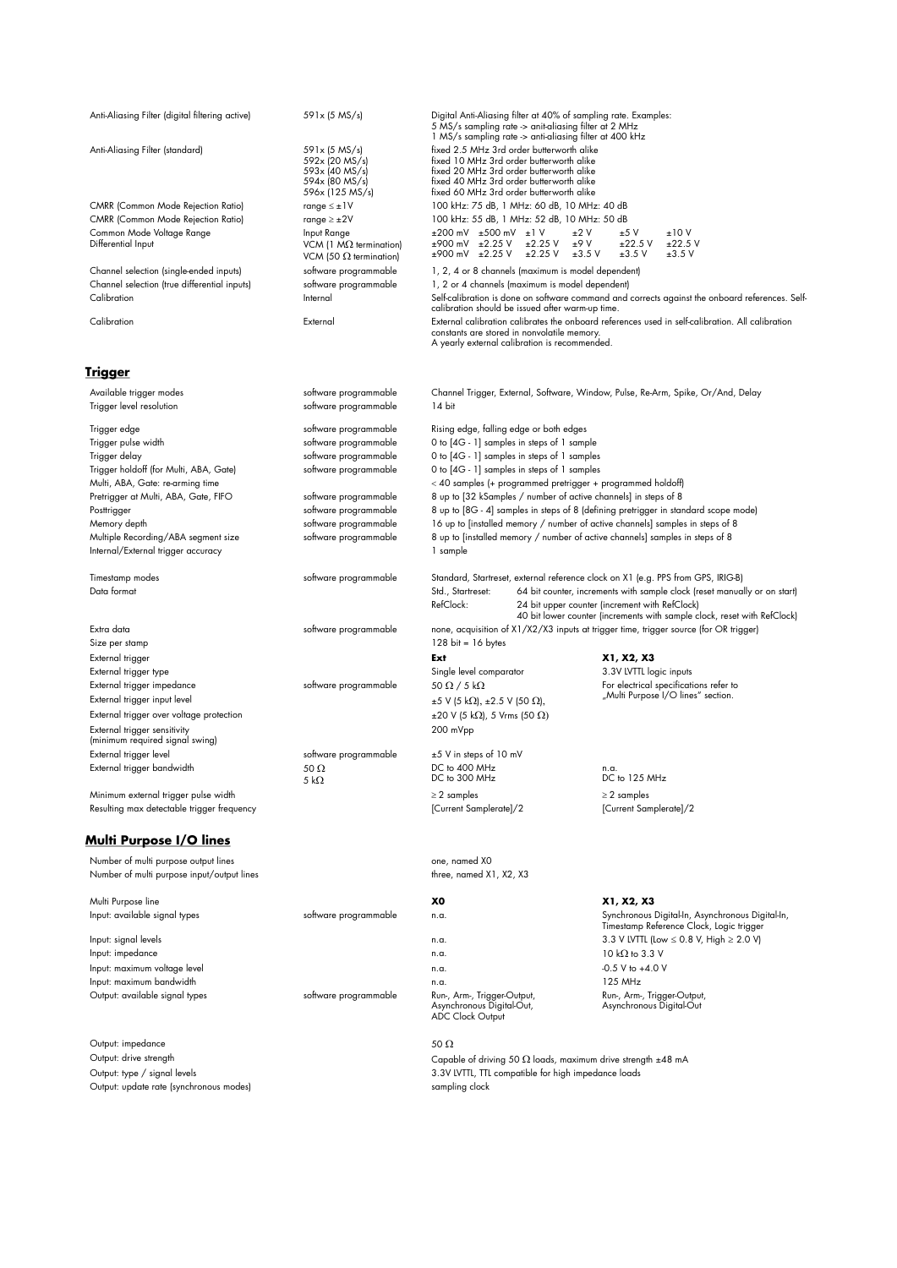| Anti-Aliasing Filter (digital filtering active)                                    | 591x (5 MS/s)                                                                          | Digital Anti-Aliasing filter at 40% of sampling rate. Examples:<br>5 MS/s sampling rate -> anit-aliasing filter at 2 MHz<br>1 MS/s sampling rate -> anti-aliasing filter at 400 kHz                                       |                                                                                                                                                                                                                                                                                             |  |
|------------------------------------------------------------------------------------|----------------------------------------------------------------------------------------|---------------------------------------------------------------------------------------------------------------------------------------------------------------------------------------------------------------------------|---------------------------------------------------------------------------------------------------------------------------------------------------------------------------------------------------------------------------------------------------------------------------------------------|--|
| Anti-Aliasing Filter (standard)                                                    | 591x (5 MS/s)<br>592x (20 MS/s)<br>593x (40 MS/s)<br>594x (80 MS/s)<br>596x (125 MS/s) | fixed 2.5 MHz 3rd order butterworth alike<br>fixed 10 MHz 3rd order butterworth alike<br>fixed 20 MHz 3rd order butterworth alike<br>fixed 40 MHz 3rd order butterworth alike<br>fixed 60 MHz 3rd order butterworth alike |                                                                                                                                                                                                                                                                                             |  |
| <b>CMRR (Common Mode Rejection Ratio)</b>                                          | range $\leq \pm 1$ V                                                                   | 100 kHz: 75 dB, 1 MHz: 60 dB, 10 MHz: 40 dB                                                                                                                                                                               |                                                                                                                                                                                                                                                                                             |  |
| <b>CMRR (Common Mode Rejection Ratio)</b>                                          | range $\geq \pm 2V$                                                                    | 100 kHz: 55 dB, 1 MHz: 52 dB, 10 MHz: 50 dB                                                                                                                                                                               |                                                                                                                                                                                                                                                                                             |  |
| Common Mode Voltage Range<br>Differential Input                                    | Input Range<br>VCM (1 $M\Omega$ termination)<br>VCM (50 $\Omega$ termination)          | $\pm 200$ mV $\pm 500$ mV $\pm 1$ V<br>±900 mV ±2.25 V<br>$\pm 2.25$ V<br>±2.25 V<br>±900 mV ±2.25 V                                                                                                                      | ±2V<br>±10V<br>±5V<br>±9V<br>$±22.5$ V<br>$±22.5$ V<br>$±3.5$ V<br>±3.5V<br>$±3.5$ V                                                                                                                                                                                                        |  |
| Channel selection (single-ended inputs)                                            | software programmable                                                                  | 1, 2, 4 or 8 channels (maximum is model dependent)                                                                                                                                                                        |                                                                                                                                                                                                                                                                                             |  |
| Channel selection (true differential inputs)<br>Calibration                        | software programmable<br>Internal                                                      | 1, 2 or 4 channels (maximum is model dependent)<br>calibration should be issued after warm-up time.                                                                                                                       | Self-calibration is done on software command and corrects against the onboard references. Self-                                                                                                                                                                                             |  |
| Calibration                                                                        | External                                                                               | constants are stored in nonvolatile memory.<br>A yearly external calibration is recommended.                                                                                                                              | External calibration calibrates the onboard references used in self-calibration. All calibration                                                                                                                                                                                            |  |
| <u>Trigger</u>                                                                     |                                                                                        |                                                                                                                                                                                                                           |                                                                                                                                                                                                                                                                                             |  |
| Available trigger modes<br>Trigger level resolution                                | software programmable<br>software programmable                                         | 14 bit                                                                                                                                                                                                                    | Channel Trigger, External, Software, Window, Pulse, Re-Arm, Spike, Or/And, Delay                                                                                                                                                                                                            |  |
| Trigger edge                                                                       | software programmable                                                                  | Rising edge, falling edge or both edges                                                                                                                                                                                   |                                                                                                                                                                                                                                                                                             |  |
| Trigger pulse width                                                                | software programmable                                                                  | 0 to [4G - 1] samples in steps of 1 sample                                                                                                                                                                                |                                                                                                                                                                                                                                                                                             |  |
| Trigger delay<br>Trigger holdoff (for Multi, ABA, Gate)                            | software programmable<br>software programmable                                         | 0 to [4G - 1] samples in steps of 1 samples<br>0 to [4G - 1] samples in steps of 1 samples                                                                                                                                |                                                                                                                                                                                                                                                                                             |  |
| Multi, ABA, Gate: re-arming time                                                   |                                                                                        | < 40 samples (+ programmed pretrigger + programmed holdoff)                                                                                                                                                               |                                                                                                                                                                                                                                                                                             |  |
| Pretrigger at Multi, ABA, Gate, FIFO                                               | software programmable                                                                  | 8 up to [32 kSamples / number of active channels] in steps of 8                                                                                                                                                           |                                                                                                                                                                                                                                                                                             |  |
| Posttrigger                                                                        | software programmable                                                                  |                                                                                                                                                                                                                           | 8 up to [8G - 4] samples in steps of 8 (defining pretrigger in standard scope mode)                                                                                                                                                                                                         |  |
| Memory depth<br>Multiple Recording/ABA segment size                                | software programmable<br>software programmable                                         | 16 up to [installed memory / number of active channels] samples in steps of 8<br>8 up to [installed memory / number of active channels] samples in steps of 8                                                             |                                                                                                                                                                                                                                                                                             |  |
| Internal/External trigger accuracy                                                 |                                                                                        | 1 sample                                                                                                                                                                                                                  |                                                                                                                                                                                                                                                                                             |  |
| Timestamp modes<br>Data format                                                     | software programmable                                                                  | Std., Startreset:<br>RefClock:                                                                                                                                                                                            | Standard, Startreset, external reference clock on X1 (e.g. PPS from GPS, IRIG-B)<br>64 bit counter, increments with sample clock (reset manually or on start)<br>24 bit upper counter (increment with RefClock)<br>40 bit lower counter (increments with sample clock, reset with RefClock) |  |
| Extra data<br>Size per stamp                                                       | software programmable                                                                  | $128 \text{ bit} = 16 \text{ bytes}$                                                                                                                                                                                      | none, acquisition of X1/X2/X3 inputs at trigger time, trigger source (for OR trigger)                                                                                                                                                                                                       |  |
| External trigger                                                                   |                                                                                        | Ext                                                                                                                                                                                                                       | X1, X2, X3                                                                                                                                                                                                                                                                                  |  |
| External trigger type                                                              |                                                                                        | Single level comparator                                                                                                                                                                                                   | 3.3V LVTTL logic inputs                                                                                                                                                                                                                                                                     |  |
| External trigger impedance<br>External trigger input level                         | software programmable                                                                  | 50 $\Omega$ / 5 k $\Omega$<br>$±5$ V (5 kΩ), $±2.5$ V (50 Ω),                                                                                                                                                             | For electrical specifications refer to<br>"Multi Purpose I/O lines" section.                                                                                                                                                                                                                |  |
| External trigger over voltage protection                                           |                                                                                        | $\pm 20$ V (5 k $\Omega$ ), 5 Vrms (50 $\Omega$ )                                                                                                                                                                         |                                                                                                                                                                                                                                                                                             |  |
| External trigger sensitivity<br>(minimum required signal swing)                    |                                                                                        | 200 mVpp                                                                                                                                                                                                                  |                                                                                                                                                                                                                                                                                             |  |
| External trigger level                                                             | software programmable                                                                  | ±5 V in steps of 10 mV                                                                                                                                                                                                    |                                                                                                                                                                                                                                                                                             |  |
| External trigger bandwidth                                                         | 50 $\Omega$<br>5 kΩ                                                                    | DC to 400 MHz<br>DC to 300 MHz                                                                                                                                                                                            | n.a.<br>DC to 125 MHz                                                                                                                                                                                                                                                                       |  |
| Minimum external trigger pulse width                                               |                                                                                        | $\geq$ 2 samples                                                                                                                                                                                                          | $\geq$ 2 samples                                                                                                                                                                                                                                                                            |  |
| Resulting max detectable trigger frequency                                         |                                                                                        | [Current Samplerate]/2                                                                                                                                                                                                    | [Current Samplerate]/2                                                                                                                                                                                                                                                                      |  |
| <b>Multi Purpose I/O lines</b>                                                     |                                                                                        |                                                                                                                                                                                                                           |                                                                                                                                                                                                                                                                                             |  |
| Number of multi purpose output lines<br>Number of multi purpose input/output lines |                                                                                        | one, named X0<br>three, named X1, X2, X3                                                                                                                                                                                  |                                                                                                                                                                                                                                                                                             |  |
| Multi Purpose line                                                                 |                                                                                        | хo                                                                                                                                                                                                                        | X1, X2, X3                                                                                                                                                                                                                                                                                  |  |
| Input: available signal types                                                      | software programmable                                                                  | n.a.                                                                                                                                                                                                                      | Synchronous Digital-In, Asynchronous Digital-In,<br>Timestamp Reference Clock, Logic trigger                                                                                                                                                                                                |  |
| Input: signal levels                                                               |                                                                                        | n.a.                                                                                                                                                                                                                      | 3.3 V LVTTL (Low ≤ 0.8 V, High ≥ 2.0 V)                                                                                                                                                                                                                                                     |  |
| Input: impedance<br>Input: maximum voltage level                                   |                                                                                        | n.a.                                                                                                                                                                                                                      | 10 k $\Omega$ to 3.3 V<br>$-0.5$ V to $+4.0$ V                                                                                                                                                                                                                                              |  |
| Input: maximum bandwidth                                                           |                                                                                        | n.a.<br>n.a.                                                                                                                                                                                                              | 125 MHz                                                                                                                                                                                                                                                                                     |  |
| Output: available signal types                                                     | software programmable                                                                  | Run-, Arm-, Trigger-Output,<br>Asynchronous Digital-Out,<br><b>ADC Clock Output</b>                                                                                                                                       | Run-, Arm-, Trigger-Output,<br>Asynchronous Digital-Out                                                                                                                                                                                                                                     |  |
|                                                                                    |                                                                                        |                                                                                                                                                                                                                           |                                                                                                                                                                                                                                                                                             |  |

Output: impedance 50  $\Omega$ <br>
Output: drive strength Capab Output: type / signal levels<br>Output: update rate (synchronous modes)

Capable of driving 50  $\Omega$  loads, maximum drive strength ±48 mA 3.3V LVTTL, TTL compatible for high impedance loads<br>sampling clock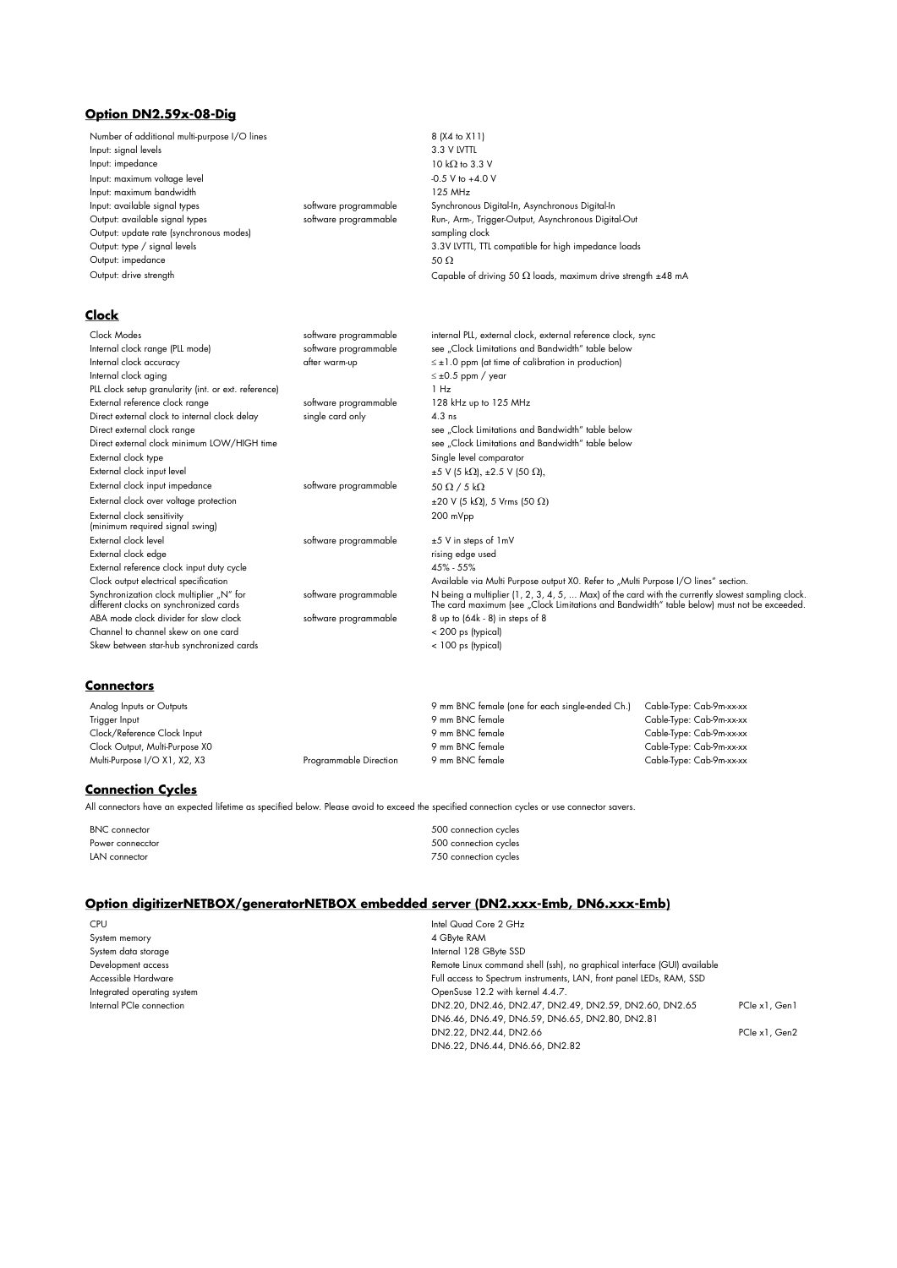## **Option DN2.59x-08-Dig**

| Number of additional multi-purpose I/O lines<br>Input: signal levels               |                       | 8 (X4 to X11)<br>3.3 V LVTTL                                                                                                                                                                   |
|------------------------------------------------------------------------------------|-----------------------|------------------------------------------------------------------------------------------------------------------------------------------------------------------------------------------------|
| Input: impedance                                                                   |                       | 10 k $\Omega$ to 3.3 V                                                                                                                                                                         |
| Input: maximum voltage level                                                       |                       | -0.5 V to +4.0 V                                                                                                                                                                               |
| Input: maximum bandwidth                                                           |                       | 125 MHz                                                                                                                                                                                        |
| Input: available signal types                                                      | software programmable | Synchronous Digital-In, Asynchronous Digital-In                                                                                                                                                |
| Output: available signal types                                                     | software programmable | Run-, Arm-, Trigger-Output, Asynchronous Digital-Out                                                                                                                                           |
| Output: update rate (synchronous modes)                                            |                       | sampling clock                                                                                                                                                                                 |
| Output: type / signal levels                                                       |                       | 3.3V LVTTL, TTL compatible for high impedance loads                                                                                                                                            |
| Output: impedance                                                                  |                       | 50 $\Omega$                                                                                                                                                                                    |
| Output: drive strength                                                             |                       | Capable of driving 50 $\Omega$ loads, maximum drive strength $\pm 48$ mA                                                                                                                       |
| Clock                                                                              |                       |                                                                                                                                                                                                |
| Clock Modes                                                                        | software programmable | internal PLL, external clock, external reference clock, sync                                                                                                                                   |
| Internal clock range (PLL mode)                                                    | software programmable | see "Clock Limitations and Bandwidth" table below                                                                                                                                              |
| Internal clock accuracy                                                            | after warm-up         | $\leq \pm 1.0$ ppm (at time of calibration in production)                                                                                                                                      |
| Internal clock aging                                                               |                       | $\leq \pm 0.5$ ppm / year                                                                                                                                                                      |
| PLL clock setup granularity (int. or ext. reference)                               |                       | 1 Hz                                                                                                                                                                                           |
| External reference clock range                                                     | software programmable | 128 kHz up to 125 MHz                                                                                                                                                                          |
| Direct external clock to internal clock delay                                      | single card only      | $4.3$ ns                                                                                                                                                                                       |
| Direct external clock range                                                        |                       | see "Clock Limitations and Bandwidth" table below                                                                                                                                              |
| Direct external clock minimum LOW/HIGH time                                        |                       | see "Clock Limitations and Bandwidth" table below                                                                                                                                              |
| External clock type                                                                |                       | Single level comparator                                                                                                                                                                        |
| External clock input level                                                         |                       | $\pm 5$ V (5 kΩ), $\pm 2.5$ V (50 Ω),                                                                                                                                                          |
| External clock input impedance                                                     | software programmable | 50 $\Omega$ / 5 k $\Omega$                                                                                                                                                                     |
| External clock over voltage protection                                             |                       | $\pm 20$ V (5 k $\Omega$ ), 5 Vrms (50 $\Omega$ )                                                                                                                                              |
| External clock sensitivity<br>(minimum required signal swing)                      |                       | 200 mVpp                                                                                                                                                                                       |
| External clock level                                                               | software programmable | ±5 V in steps of 1mV                                                                                                                                                                           |
| External clock edge                                                                |                       | rising edge used                                                                                                                                                                               |
| External reference clock input duty cycle                                          |                       | 45% - 55%                                                                                                                                                                                      |
| Clock output electrical specification                                              |                       | Available via Multi Purpose output X0. Refer to "Multi Purpose I/O lines" section.                                                                                                             |
| Synchronization clock multiplier "N" for<br>different clocks on synchronized cards | software programmable | N being a multiplier (1, 2, 3, 4, 5,  Max) of the card with the currently slowest sampling clock<br>The card maximum (see "Clock Limitations and Bandwidth" table below) must not be exceeded. |
| ABA mode clock divider for slow clock                                              | software programmable | 8 up to (64k - 8) in steps of 8                                                                                                                                                                |
| Channel to channel skew on one card                                                |                       | < 200 ps (typical)                                                                                                                                                                             |
| Skew between star-hub synchronized cards                                           |                       | < 100 ps (typical)                                                                                                                                                                             |

## **Connectors**

Analog Inputs or Outputs<br>9 mm BNC female (one for each single-ended Ch.) Cable-Type: Cab-9m-xx-xx<br>9 mm BNC female 9 mm BNC female Cab-9Type: Cab-9m-xx-xx P mm BNC female Cable-Type: Cable-Type: Cab-9m-xx-xx<br>P mm BNC female Cable-Type: Cab-9m-xx-xx Clock/Reference Clock Input 9 mm BNC female Cable-Type: Cab-9m-xx-xx<br>Clock/Reference Clock Input 9 mm BNC female Cable-Type: Cab-9m-xx-xx<br>Clock Output, Multi-Purpose X0 mm BNC female 9 mm BNC female Cable-Type: Cab-9m-xx-x Clock Output, Multi-Purpose X0 و Clock Output, Multi-Purpose X0 9 mm BNC female<br>Multi-Purpose I/O X1, X2, X3 9 mm BNC female Multi-Purpose I/O X1, X2, X3 9 mm BNC female Multi-Purpose I/O X1 Multi-Purpose I/O X1, X2, X3 Programmable Direction

## **Connection Cycles**

All connectors have an expected lifetime as specified below. Please avoid to exceed the specified connection cycles or use connector savers.

BNC connector  $500$  connection cycles Power connector extensive connection cycles of the state of the state of the state of the state of the state of the state of the state of the state of the state of the state of the state of the state of the state of the st LAN connector **120 connection** cycles

### **Option digitizerNETBOX/generatorNETBOX embedded server (DN2.xxx-Emb, DN6.xxx-Emb)**

| <b>CPU</b>                  | Intel Quad Core 2 GHz                                                    |               |
|-----------------------------|--------------------------------------------------------------------------|---------------|
| System memory               | 4 GByte RAM                                                              |               |
| System data storage         | Internal 128 GByte SSD                                                   |               |
| Development access          | Remote Linux command shell (ssh), no graphical interface (GUI) available |               |
| Accessible Hardware         | Full access to Spectrum instruments, LAN, front panel LEDs, RAM, SSD     |               |
| Integrated operating system | OpenSuse 12.2 with kernel 4.4.7.                                         |               |
| Internal PCIe connection    | DN2.20, DN2.46, DN2.47, DN2.49, DN2.59, DN2.60, DN2.65                   | PCle x1, Gen1 |
|                             | DN6.46, DN6.49, DN6.59, DN6.65, DN2.80, DN2.81                           |               |
|                             | DN2.22, DN2.44, DN2.66                                                   | PCle x1, Gen2 |
|                             | DN6.22, DN6.44, DN6.66, DN2.82                                           |               |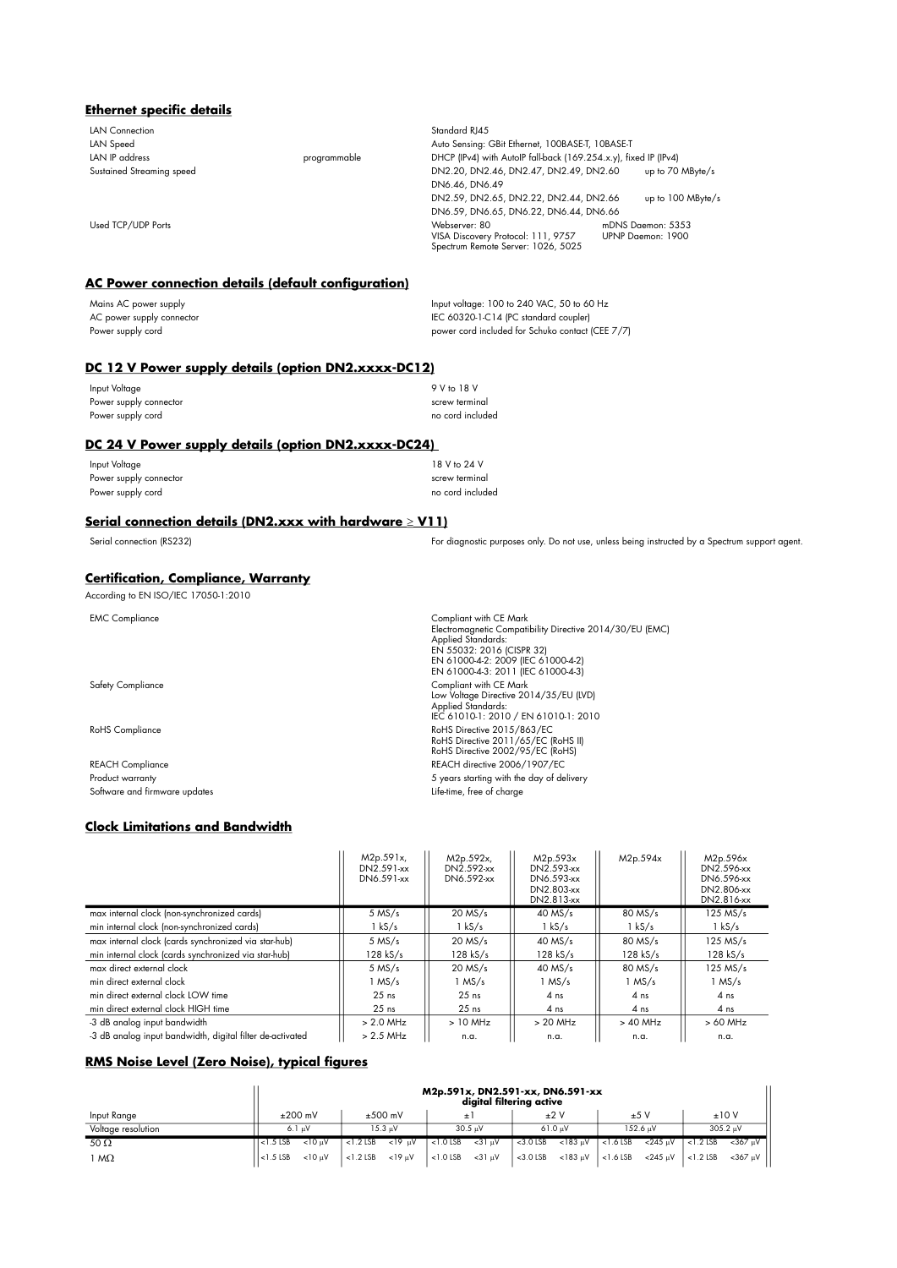## **Ethernet specific details**

| LAN Connection            |              | Standard RJ45                                                                             |                                        |
|---------------------------|--------------|-------------------------------------------------------------------------------------------|----------------------------------------|
| LAN Speed                 |              | Auto Sensing: GBit Ethernet, 100BASE-T, 10BASE-T                                          |                                        |
| LAN IP address            | programmable | DHCP (IPv4) with AutoIP fall-back (169.254.x.y), fixed IP (IPv4)                          |                                        |
| Sustained Streaming speed |              | DN2.20, DN2.46, DN2.47, DN2.49, DN2.60                                                    | up to 70 MByte/s                       |
|                           |              | DN6.46, DN6.49                                                                            |                                        |
|                           |              | DN2.59, DN2.65, DN2.22, DN2.44, DN2.66                                                    | up to 100 MByte/s                      |
|                           |              | DN6.59, DN6.65, DN6.22, DN6.44, DN6.66                                                    |                                        |
| Used TCP/UDP Ports        |              | Webserver: 80<br>VISA Discovery Protocol: 111, 9757<br>Spectrum Remote Server: 1026, 5025 | mDNS Daemon: 5353<br>UPNP Daemon: 1900 |

# **AC Power connection details (default configuration)**

| Mains AC power supply     | Input voltage: 100 to 240 VAC, 50 to 60 Hz       |
|---------------------------|--------------------------------------------------|
| AC power supply connector | IEC 60320-1-C14 (PC standard coupler)            |
| Power supply cord         | power cord included for Schuko contact (CEE 7/7) |

## **DC 12 V Power supply details (option DN2.xxxx-DC12)**

| Input Voltage          | 9 V to 18 V      |
|------------------------|------------------|
| Power supply connector | screw terminal   |
| Power supply cord      | no cord included |

## **DC 24 V Power supply details (option DN2.xxxx-DC24)**

| Input Voltage          | 18 V to 24 V     |
|------------------------|------------------|
| Power supply connector | screw terminal   |
| Power supply cord      | no cord included |

## **Serial connection details (DN2.xxx with hardware V11)**

Serial connection (RS232) For diagnostic purposes only. Do not use, unless being instructed by a Spectrum support agent.

## **Certification, Compliance, Warranty**

|  |  | According to EN ISO/IEC 17050-1:2010 |
|--|--|--------------------------------------|
|--|--|--------------------------------------|

| <b>EMC Compliance</b>         | Compliant with CE Mark<br>Electromagnetic Compatibility Directive 2014/30/EU (EMC)<br>Applied Standards:<br>EN 55032: 2016 (CISPR 32)<br>EN 61000-4-2: 2009 (IEC 61000-4-2)<br>EN 61000-4-3: 2011 (IEC 61000-4-3) |
|-------------------------------|-------------------------------------------------------------------------------------------------------------------------------------------------------------------------------------------------------------------|
| <b>Safety Compliance</b>      | Compliant with CE Mark<br>Low Voltage Directive 2014/35/EU (LVD)<br><b>Applied Standards:</b><br>IEC 61010-1: 2010 / EN 61010-1: 2010                                                                             |
| <b>RoHS</b> Compliance        | RoHS Directive 2015/863/EC<br>RoHS Directive 2011/65/EC (RoHS II)<br>RoHS Directive 2002/95/EC (RoHS)                                                                                                             |
| <b>REACH Compliance</b>       | REACH directive 2006/1907/EC                                                                                                                                                                                      |
| Product warranty              | 5 years starting with the day of delivery                                                                                                                                                                         |
| Software and firmware updates | Life-time, free of charge                                                                                                                                                                                         |

## **Clock Limitations and Bandwidth**

|                                                           | M <sub>2p.591x</sub><br>DN2.591-xx<br>DN6.591-xx | M2p.592x,<br>DN2.592-xx<br>DN6.592-xx | M <sub>2p.593x</sub><br>DN2.593-xx<br>DN6.593-xx<br>DN2.803-xx<br>DN2.813-xx | M2p.594x        | M <sub>2p.596x</sub><br>DN2.596-xx<br>DN6.596-xx<br>DN2.806-xx<br>DN2.816-xx |
|-----------------------------------------------------------|--------------------------------------------------|---------------------------------------|------------------------------------------------------------------------------|-----------------|------------------------------------------------------------------------------|
| max internal clock (non-synchronized cards)               | $5$ MS/s                                         | $20$ MS/s                             | $40$ MS/s                                                                    | 80 MS/s         | $125$ MS/s                                                                   |
| min internal clock (non-synchronized cards)               | l kS/s                                           | 1 kS/s                                | l kS/s                                                                       | $1$ kS/s        | $1$ kS/s                                                                     |
| max internal clock (cards synchronized via star-hub)      | $5$ MS/s                                         | $20$ MS/s                             | $40$ MS/s                                                                    | 80 MS/s         | $125$ MS/s                                                                   |
| min internal clock (cards synchronized via star-hub)      | 128 kS/s                                         | 128 kS/s                              | $128$ kS/s                                                                   | $128$ kS/s      | $128$ kS/s                                                                   |
| max direct external clock                                 | $5$ MS/s                                         | $20$ MS/s                             | $40$ MS/s                                                                    | 80 MS/s         | $125$ MS/s                                                                   |
| min direct external clock                                 | $1$ MS/s                                         | $1$ MS/s                              | $1$ MS/s                                                                     | $1$ MS/s        | 1 MS/s                                                                       |
| min direct external clock LOW time                        | $25$ ns                                          | $25$ ns                               | 4 ns                                                                         | 4 <sub>ns</sub> | 4 ns                                                                         |
| min direct external clock HIGH time                       | $25$ ns                                          | $25$ ns                               | 4 ns                                                                         | 4 ns            | 4 ns                                                                         |
| -3 dB analog input bandwidth                              | $> 2.0$ MHz                                      | $>10$ MHz                             | $> 20$ MHz                                                                   | $>40$ MHz       | $>60$ MHz                                                                    |
| -3 dB analoa input bandwidth, diaital filter de-activated | $> 2.5$ MHz                                      | n.a.                                  | n.a.                                                                         | n.a.            | n.a.                                                                         |

## **RMS Noise Level (Zero Noise), typical figures**

|                    |                | M2p.591x, DN2.591-xx, DN6.591-xx<br>digital filtering active |             |           |             |                   |             |                   |                |                          |  |               |
|--------------------|----------------|--------------------------------------------------------------|-------------|-----------|-------------|-------------------|-------------|-------------------|----------------|--------------------------|--|---------------|
| Input Range        |                | $±200$ mV                                                    |             | $±500$ mV |             |                   |             | ±2V               |                | ±5V                      |  | ±10V          |
| Voltage resolution |                | 6.1 uV                                                       |             | 15.3 uV   |             | $30.5 \text{ uV}$ |             | $61.0 \text{ uV}$ |                | 152.6 uV                 |  | 305.2 uV      |
| 50 $\Omega$        | $\leq$ 1.5 LSB | < 10 uV                                                      | $<$ 1.2 LSB | $<$ 19 uV | $<$ 1.0 LSB | $< 31 \text{ uV}$ | $<$ 3.0 LSB | $<$ 183 $uV$      | $\leq$ 1.6 LSB | $<$ 245 uV $\le$ 1.2 LSB |  | $<$ 367 uV    |
| $M\Omega$          | $\leq$ 1.5 LSB | $< 10 \text{ uV}$                                            | $<$ 1.2 LSB | $<$ 19 uV | $<$ 1.0 LSB | <31 uV            | $<$ 3.0 LSB | $<$ 183 µV        | $<$ 1.6 LSB    | $<$ 245 uV $ $ < 1.2 LSB |  | $<$ 367 uV II |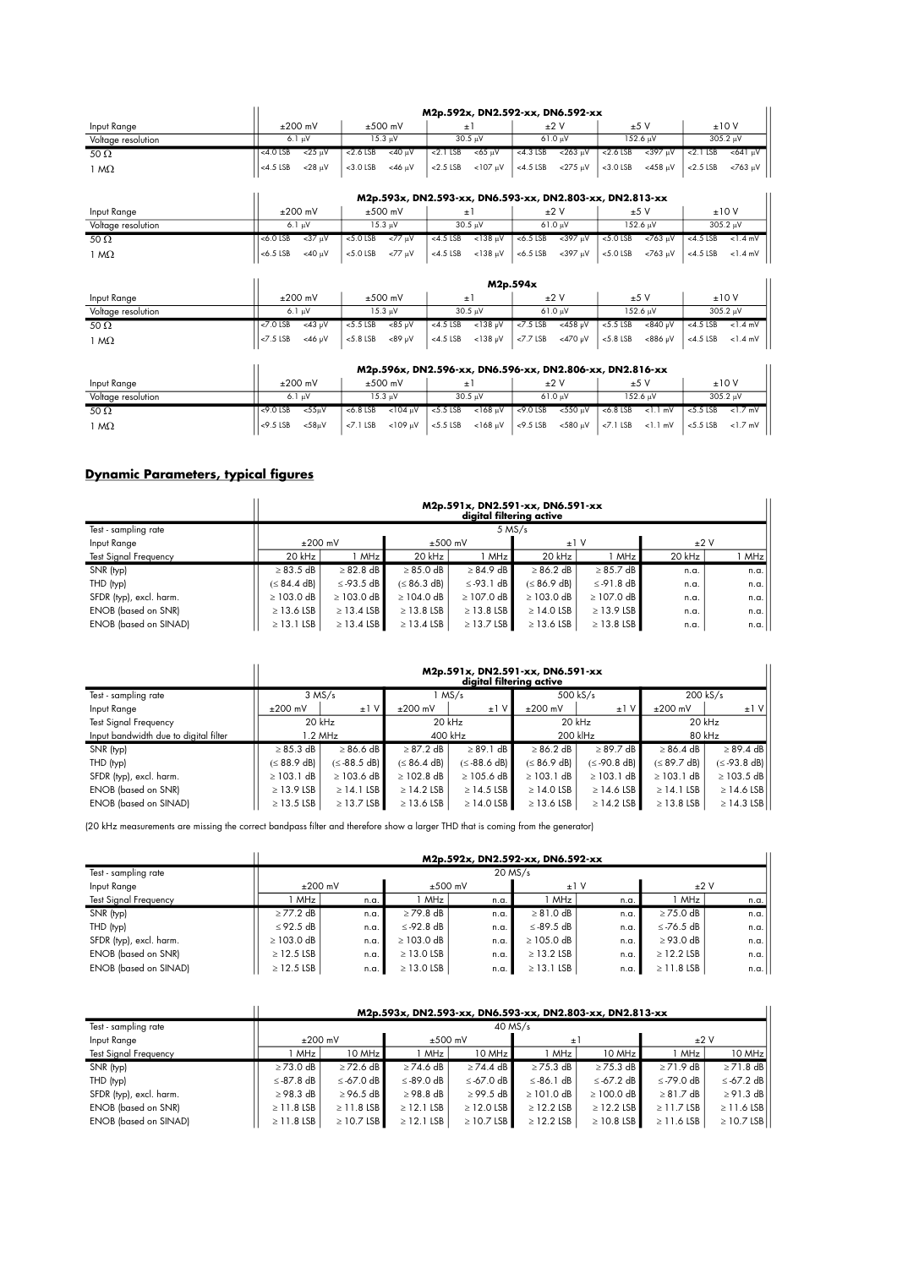|                    |                               |                               |                                | M2p.592x, DN2.592-xx, DN6.592-xx                         |                             |                              |  |
|--------------------|-------------------------------|-------------------------------|--------------------------------|----------------------------------------------------------|-----------------------------|------------------------------|--|
| Input Range        | $±200$ mV                     | $±500$ mV                     | $\pm 1$                        | ±2V                                                      | ±5V                         | ±10V                         |  |
| Voltage resolution | 6.1 µV                        | $15.3 \text{ }\mu\text{V}$    | 30.5 uV                        | 61.0 µV                                                  | 152.6 µV                    | 305.2 µV                     |  |
| 50 $\Omega$        | $<$ 25 $\mu$ V<br>$<$ 4.0 LSB | $<$ 40 $\mu$ V<br>$<$ 2.6 LSB | $<$ 2.1 $LSB$<br><65 μV        | $< 263 \mu V$<br>$<$ 4.3 LSB                             | $<$ 2.6 LSB<br>$<$ 397 µV   | $< 2.1$ LSB<br><641 μV       |  |
| $1 M\Omega$        | $<4.5$ LSB<br>$<$ 28 $\mu$ V  | $<$ 3.0 LSB<br>$<$ 46 µV      | $<$ 107 $\mu$ V<br>$< 2.5$ LSB | $<$ 275 $\mu$ V<br>$<$ 4.5 LSB                           | $<$ 3.0 $LSB$<br>$<$ 458 µV | $< 763 \mu V$<br>$<$ 2.5 LSB |  |
|                    |                               |                               |                                |                                                          |                             |                              |  |
|                    |                               |                               |                                | M2p.593x, DN2.593-xx, DN6.593-xx, DN2.803-xx, DN2.813-xx |                             |                              |  |
| Input Range        | $±200$ mV                     | $±500$ mV                     | $\pm$ 1                        | $+2V$                                                    | ±5V                         | ±10V                         |  |
| Voltage resolution | $6.1 \mu V$                   | $15.3 \text{ }\mu\text{V}$    | $30.5 \text{ uV}$              | 61.0 µV                                                  | 152.6 µV                    | 305.2 µV                     |  |
| 50 $\Omega$        | $<$ 37 µV<br>$<$ 6.0 LSB      | <77 μV<br>$<$ 5.0 LSB         | $<$ 138 µV<br>$<$ 4.5 LSB      | $< 397 \mu V$<br>$< 6.5$ LSB                             | $< 5.0$ LSB<br>$< 763$ µV   | $<$ 4.5 LSB<br>$<$ 1.4 mV    |  |
| $1 M\Omega$        | $<$ 6.5 LSB<br>$<$ 40 µV      | $< 5.0$ LSB<br>$<77 \mu V$    | $<$ 138 $\mu$ V<br>$<$ 4.5 LSB | $<$ 6.5 LSB<br>$<$ 397 $\mu$ V                           | $< 5.0$ LSB<br>$<763 \mu V$ | $<$ 4.5 LSB<br>$<1.4$ mV     |  |
|                    |                               |                               |                                | M2p.594x                                                 |                             |                              |  |
| Input Range        | $±200$ mV                     | $±500$ mV                     | $\pm 1$                        | $+2V$                                                    | ±5V                         | ±10V                         |  |
| Voltage resolution | $6.1 \mu V$                   | $15.3 \text{ }\mu\text{V}$    | $30.5 \mu V$                   | 61.0 µV                                                  | 152.6 μV                    | 305.2 µV                     |  |
| 50 $\Omega$        | $<$ 43 µV<br>$<$ 7.0 LSB      | $<85 \mu V$<br>$< 5.5$ LSB    | $<138$ µV<br>$<$ 4.5 LSB       | $<$ 458 µV<br>$< 7.5$ LSB                                | $-840 \mu V$<br>$< 5.5$ LSB | $<4.5$ LSB<br>$<$ 1.4 mV     |  |
| $1 M\Omega$        | $<$ 7.5 LSB<br>$<$ 46 µV      | $< 5.8$ LSB<br>$<89$ uV       | $<$ 138 µV<br>$<$ 4.5 LSB      | <470 µV<br>$<7.7$ LSB                                    | $< 5.8$ LSB<br>$<886$ µV    | $<$ 4.5 LSB<br>$<$ 1.4 mV    |  |
|                    |                               |                               |                                |                                                          |                             |                              |  |
|                    |                               |                               |                                | M2p.596x, DN2.596-xx, DN6.596-xx, DN2.806-xx, DN2.816-xx |                             |                              |  |
| Input Range        | $±200$ mV                     | $±500$ mV                     | $\pm 1$                        | $+2V$                                                    | ±5V                         | ±10V                         |  |
| Voltage resolution | $6.1 \mu V$                   | $15.3 \text{ }\mu\text{V}$    | $30.5 \text{ }\mu\text{V}$     | $61.0 \text{ }\mu\text{V}$                               | 152.6 µV                    | $305.2 \mu V$                |  |
| 50 $\Omega$        | $<$ 9.0 LSB<br>$< 55 \mu V$   | $<$ 104 µV<br>$<$ 6.8 LSB     | $< 5.5$ LSB<br>$<$ 168 $\mu$ V | $<$ 9.0 $LSB$<br>$<$ 550 µV                              | $< 6.8$ LSB<br>$<1.1$ mV    | $< 5.5$ LSB<br>$<1.7$ mV     |  |

## **Dynamic Parameters, typical figures**

|                              |                   | M2p.591x, DN2.591-xx, DN6.591-xx<br>digital filtering active |                   |                 |                   |                 |        |      |  |  |  |  |
|------------------------------|-------------------|--------------------------------------------------------------|-------------------|-----------------|-------------------|-----------------|--------|------|--|--|--|--|
| Test - sampling rate         |                   | $5$ MS/s                                                     |                   |                 |                   |                 |        |      |  |  |  |  |
| Input Range                  | $±200$ mV         |                                                              | $±500$ mV         |                 | ±1V               |                 | ±2V    |      |  |  |  |  |
| <b>Test Signal Frequency</b> | 20 kHz            | MHz                                                          | 20 kHz            | MHz             | 20 kHz            | <b>MHz</b>      | 20 kHz | MHz  |  |  |  |  |
| SNR (typ)                    | $\geq 83.5$ dB    | $\geq 82.8$ dB                                               | $\geq 85.0$ dB    | $\geq 84.9$ dB  | $\geq 86.2$ dB    | $\geq 85.7$ dB  | n.a.   | n.a. |  |  |  |  |
| THD (typ)                    | $( \leq 84.4$ dB) | $\le$ -93.5 dB                                               | $( \leq 86.3$ dB) | $\le$ -93.1 dB  | $( \leq 86.9$ dB) | $\le$ -91.8 dB  | n.a.   | n.a. |  |  |  |  |
| SFDR (typ), excl. harm.      | $\geq$ 103.0 dB   | $\geq$ 103.0 dB                                              | $\geq$ 104.0 dB   | $\geq$ 107.0 dB | $\geq$ 103.0 dB   | $\geq$ 107.0 dB | n.a.   | n.a. |  |  |  |  |
| <b>ENOB</b> (based on SNR)   | $\geq$ 13.6 LSB   | $\geq$ 13.4 LSB                                              | $\geq$ 13.8 LSB   | $\geq$ 13.8 LSB | $\geq$ 14.0 LSB   | $\geq$ 13.9 LSB | n.a.   | n.a. |  |  |  |  |
| <b>ENOB</b> (based on SINAD) | $\geq$ 13.1 LSB   | $\geq$ 13.4 LSB                                              | $\geq$ 13.4 LSB   | $\geq$ 13.7 LSB | $\geq$ 13.6 LSB   | $\geq$ 13.8 LSB | n.a.   | n.a. |  |  |  |  |

1 M <9.5 LSB <58V <7.1 LSB <109 V <5.5 LSB <168 V <9.5 LSB <580 V <7.1 LSB <1.1 mV <5.5 LSB <1.7 mV

|                                       |                 | M2p.591x, DN2.591-xx, DN6.591-xx<br>digital filtering active |                   |                   |                   |                 |                   |                   |  |  |  |
|---------------------------------------|-----------------|--------------------------------------------------------------|-------------------|-------------------|-------------------|-----------------|-------------------|-------------------|--|--|--|
| Test - sampling rate                  |                 | $3$ MS/s                                                     |                   | l MS/s            | $500$ kS/s        |                 |                   | 200 kS/s          |  |  |  |
| Input Range                           | $±200$ mV       | $±1$ V                                                       | $±200$ mV         | $±1$ V            | $±200$ mV         | $\pm 1$         | $±200$ mV         | $±1$ V            |  |  |  |
| <b>Test Signal Frequency</b>          | 20 kHz          |                                                              |                   | 20 kHz            | 20 kHz            |                 | 20 kHz            |                   |  |  |  |
| Input bandwidth due to digital filter |                 | l.2 MHz                                                      |                   | 400 kHz           | 200 klHz          |                 | 80 kHz            |                   |  |  |  |
| SNR (typ)                             | $\geq 85.3$ dB  | $\geq 86.6$ dB                                               | $\geq$ 87.2 dB    | $\geq$ 89.1 dB    | $\geq 86.2$ dB    | $\geq$ 89.7 dB  | $\geq 86.4$ dB    | $\geq$ 89.4 dB    |  |  |  |
| THD (typ)                             | (≤ 88.9 dB)     | $(\leq -88.5$ dB)                                            | $( \leq 86.4$ dB) | $(\leq -88.6$ dB) | $( \leq 86.9$ dB) | $(≤-90.8$ dB)   | $( \leq 89.7$ dB) | $(\leq -93.8$ dB) |  |  |  |
| SFDR (typ), excl. harm.               | $\geq$ 103.1 dB | $\geq$ 103.6 dB                                              | $\geq$ 102.8 dB   | $\geq$ 105.6 dB   | $\geq$ 103.1 dB   | $\geq$ 103.1 dB | $\geq$ 103.1 dB   | $\geq$ 103.5 dB   |  |  |  |
| <b>ENOB</b> (based on SNR)            | $\geq$ 13.9 LSB | $\geq$ 14.1 LSB                                              | $\geq$ 14.2 LSB   | $\geq$ 14.5 LSB   | $\geq$ 14.0 LSB   | $\geq$ 14.6 LSB | $\geq$ 14.1 LSB   | $\geq$ 14.6 LSB   |  |  |  |
| <b>ENOB</b> (based on SINAD)          | $\geq$ 13.5 LSB | $\geq$ 13.7 LSB                                              | $\geq$ 13.6 LSB   | $\geq$ 14.0 LSB   | $\geq$ 13.6 LSB   | $\geq$ 14.2 LSB | $\geq$ 13.8 LSB   | $\geq$ 14.3 LSB   |  |  |  |

(20 kHz measurements are missing the correct bandpass filter and therefore show a larger THD that is coming from the generator)

|                              |                 | M2p.592x, DN2.592-xx, DN6.592-xx |                 |      |                 |      |                 |      |  |  |  |  |  |
|------------------------------|-----------------|----------------------------------|-----------------|------|-----------------|------|-----------------|------|--|--|--|--|--|
| Test - sampling rate         |                 | $20$ MS/s                        |                 |      |                 |      |                 |      |  |  |  |  |  |
| Input Range                  | $±200$ mV       |                                  | $±500$ mV       |      | ±1V             |      | ±2V             |      |  |  |  |  |  |
| <b>Test Signal Frequency</b> | <b>MHz</b>      | n.a.                             |                 | n.a. | MHz             | n.a. | MHz             | n.a  |  |  |  |  |  |
| SNR (typ)                    | $\geq$ 77.2 dB  | n.a.                             | $\geq$ 79.8 dB  | n.a. | $\geq 81.0$ dB  | n.a. | $\geq$ 75.0 dB  | n.a. |  |  |  |  |  |
| THD (typ)                    | $\leq$ 92.5 dB  | n.a.                             | $\leq$ -92.8 dB | n.a. | ≤-89.5 dB       | n.a. | ≤-76.5 dB       | n.a. |  |  |  |  |  |
| SFDR (typ), excl. harm.      | $\geq$ 103.0 dB | n.a.                             | $\geq$ 103.0 dB | n.a. | $\geq$ 105.0 dB | n.a. | $\geq$ 93.0 dB  | n.a. |  |  |  |  |  |
| <b>ENOB</b> (based on SNR)   | $\geq$ 12.5 LSB | n.a.                             | $\geq$ 13.0 LSB | n.a. | $\geq$ 13.2 LSB | n.a. | $\geq$ 12.2 LSB | n.a. |  |  |  |  |  |
| <b>ENOB</b> (based on SINAD) | $\geq$ 12.5 LSB | n.a.                             | $\geq$ 13.0 LSB | n.a. | $\geq$ 13.1 LSB | n.a. | $\geq$ 11.8 LSB | n.a. |  |  |  |  |  |

|                              | M2p.593x, DN2.593-xx, DN6.593-xx, DN2.803-xx, DN2.813-xx |                 |                 |                 |                 |                 |                        |                 |  |  |  |  |
|------------------------------|----------------------------------------------------------|-----------------|-----------------|-----------------|-----------------|-----------------|------------------------|-----------------|--|--|--|--|
| Test - sampling rate         | $40$ MS/s                                                |                 |                 |                 |                 |                 |                        |                 |  |  |  |  |
| Input Range                  | $±200$ mV                                                |                 | $±500$ mV       |                 | $\pm$ 1         |                 | ±2V                    |                 |  |  |  |  |
| <b>Test Signal Frequency</b> | MHz                                                      | 10 MHz          | MHz             | 10 MHz          | l MHz           | 10 MHz          | MHz                    | 10 MHz          |  |  |  |  |
| SNR (typ)                    | $\geq$ 73.0 dB                                           | $\geq$ 72.6 dB  | $\geq$ 74.6 dB  | $\geq$ 74.4 dB  | $\geq$ 75.3 dB  | $\geq$ 75.3 dB  | $\geq$ 71.9 dB         | $\geq$ 71.8 dB  |  |  |  |  |
| THD (typ)                    | ≤-87.8 dB                                                | $\leq$ -67.0 dB | $\leq$ -89.0 dB | $\le$ -67.0 dB  | $\le$ -86.1 dB  | $\le$ -67.2 dB  | $\le$ -79.0 dB         | $\le$ -67.2 dB  |  |  |  |  |
| SFDR (typ), excl. harm.      | $\geq$ 98.3 dB                                           | $\geq$ 96.5 dB  | $\geq$ 98.8 dB  | $\ge$ 99.5 dB   | $\geq$ 101.0 dB | $\geq$ 100.0 dB | $\geq 81.7 \text{ dB}$ | $\geq$ 91.3 dB  |  |  |  |  |
| <b>ENOB</b> (based on SNR)   | $\geq$ 11.8 LSB                                          | $\geq$ 11.8 LSB | $\ge$ 12.1 LSB  | $\geq$ 12.0 LSB | $\geq$ 12.2 LSB | $\geq$ 12.2 LSB | $\geq$ 11.7 LSB        | $\geq$ 11.6 LSB |  |  |  |  |
| <b>ENOB</b> (based on SINAD) | $\geq$ 11.8 LSB                                          | $\geq$ 10.7 LSB | $\geq$ 12.1 LSB | $\geq$ 10.7 LSB | $\geq$ 12.2 LSB | $\geq$ 10.8 LSB | $\geq$ 11.6 LSB        | $\geq$ 10.7 LSB |  |  |  |  |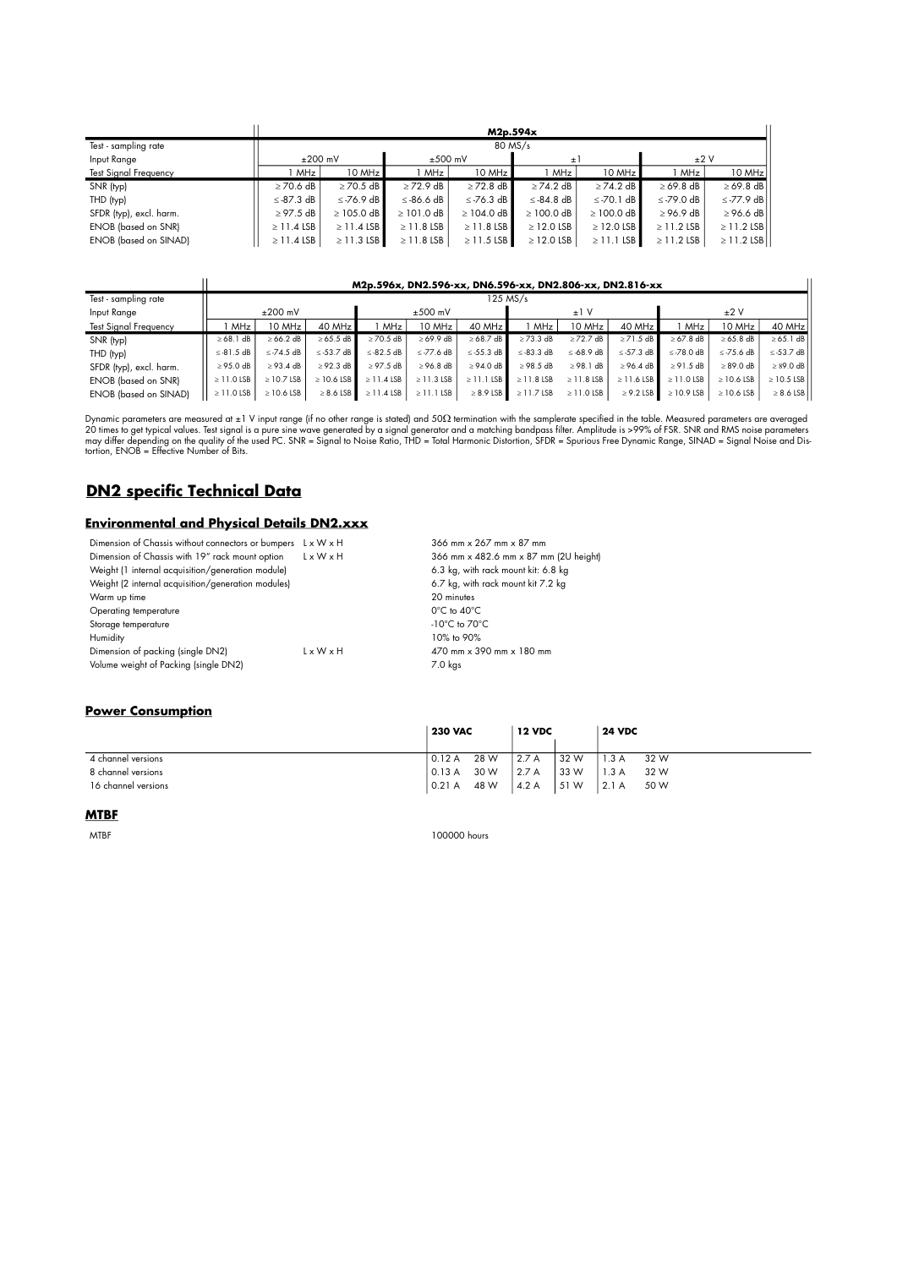|                              |                      | M2p.594x        |                 |                 |                 |                 |                 |                 |  |  |  |  |  |
|------------------------------|----------------------|-----------------|-----------------|-----------------|-----------------|-----------------|-----------------|-----------------|--|--|--|--|--|
| Test - sampling rate         |                      | 80 MS/s         |                 |                 |                 |                 |                 |                 |  |  |  |  |  |
| Input Range                  | $±200$ mV            |                 | $±500$ mV       |                 | $\pm$ 1         |                 | ±2V             |                 |  |  |  |  |  |
| <b>Test Signal Frequency</b> | 10 MHz<br><b>MHz</b> |                 | MHz             | 10 MHz          | MHz             | 10 MHz          | MHz             | 10 MHz          |  |  |  |  |  |
| SNR (typ)                    | $\geq$ 70.6 dB       | $\geq$ 70.5 dB  | $\geq$ 72.9 dB  | $\geq$ 72.8 dB  | $\geq$ 74.2 dB  | $\geq$ 74.2 dB  | $\geq 69.8$ dB  | $\geq 69.8$ dB  |  |  |  |  |  |
| THD (typ)                    | $\le$ -87.3 dB       | $\le$ -76.9 dB  | $\leq$ -86.6 dB | $\le$ -76.3 dB  | $\leq$ -84.8 dB | $\le$ -70.1 dB  | $\leq$ -79.0 dB | $\le$ -77.9 dB  |  |  |  |  |  |
| SFDR (typ), excl. harm.      | $\geq$ 97.5 dB       | $\geq$ 105.0 dB | $\geq$ 101.0 dB | $\geq$ 104.0 dB | $\geq$ 100.0 dB | $\geq$ 100.0 dB | $\geq$ 96.9 dB  | $\geq$ 96.6 dB  |  |  |  |  |  |
| ENOB (based on SNR)          | $\geq$ 11.4 LSB      | $\geq$ 11.4 LSB | $\geq$ 11.8 LSB | $\geq$ 11.8 LSB | $\geq$ 12.0 LSB | $\geq$ 12.0 LSB | $\geq$ 11.2 LSB | $\geq$ 11.2 LSB |  |  |  |  |  |
| <b>ENOB</b> (based on SINAD) | $\geq$ 11.4 LSB      | $\geq$ 11.3 LSB | $\geq$ 11.8 LSB | $\geq$ 11.5 LSB | $\geq$ 12.0 LSB | $\geq$ 11.1 LSB | $\geq$ 11.2 LSB | $\geq$ 11.2 LSB |  |  |  |  |  |

### **M2p.596x, DN2.596-xx, DN6.596-xx, DN2.806-xx, DN2.816-xx**

 $\overline{\mathsf{u}}$ 

| Test - sampling rate         |                 | 125 MS/s        |                 |                 |                 |                 |                 |                 |                 |                 |                 |                 |  |
|------------------------------|-----------------|-----------------|-----------------|-----------------|-----------------|-----------------|-----------------|-----------------|-----------------|-----------------|-----------------|-----------------|--|
| Input Range                  | $±200$ mV       |                 |                 | $±500$ mV       |                 |                 | ±1V             |                 |                 | ±2V             |                 |                 |  |
| <b>Test Signal Frequency</b> | MHz             | 10 MHz          | 40 MHz          | MHz.            | 10 MHz          | $40$ MHz        | MHz             | 10 MHz          | 40 MHz          | MHz             | 10 MHz          | 40 MHz          |  |
| SNR (typ)                    | $\geq 68.1$ dB  | $\geq 66.2$ dB  | $\geq 65.5$ dB  | $\geq$ 70.5 dB  | $\geq 69.9$ dB  | $\geq 68.7$ dB  | $\geq$ 73.3 dB  | $\geq$ 72.7 dB  | $\geq$ 71.5 dB  | $\geq 67.8$ dB  | $\geq 65.8$ dB  | $\geq 65.1$ dB  |  |
| THD (typ)                    | $\le$ -81.5 dB  | $\leq$ -74.5 dB | $\le$ -53.7 dB  | $\le$ -82.5 dB  | $\leq$ -77.6 dB | $\le$ -55.3 dB  | $\le$ -83.3 dB  | $\le$ -68.9 dB  | $\le$ -57.3 dB  | $\leq$ -78.0 dB | $\le$ -75.6 dB  | $\le$ -53.7 dB  |  |
| SFDR (typ), excl. harm.      | $\geq$ 95.0 dB  | $\geq$ 93.4 dB  | $\geq$ 92.3 dB  | $\geq$ 97.5 dB  | $\geq$ 96.8 dB  | $\geq$ 94.0 dB  | $\geq$ 98.5 dB  | $\geq$ 98.1 dB  | $\geq$ 96.4 dB  | $\geq 91.5$ dB  | $\geq 89.0$ dB  | $\geq$ 89.0 dB  |  |
| <b>ENOB</b> (based on SNR)   | $\geq$ 11.0 LSB | $\geq$ 10.7 LSB | $\geq$ 10.6 LSB | $\geq$ 11.4 LSB | $\geq$ 11.3 LSB | $\geq$ 11.1 LSB | $\geq$ 11.8 LSB | $\geq$ 11.8 LSB | $\geq$ 11.6 LSB | $\geq$ 11.0 LSB | $\geq$ 10.6 LSB | $\geq$ 10.5 LSB |  |
| <b>ENOB</b> (based on SINAD) | $\geq$ 11.0 LSB | $\geq$ 10.6 LSB | $\geq 8.6$ LSB  | $\geq$ 11.4 LSB | $\geq$ 11.1 LSB | $\geq 8.9$ LSB  | $\geq$ 11.7 LSB | $\geq$ 11.0 LSB | $\geq$ 9.2 LSB  | $\geq$ 10.9 LSB | $\geq$ 10.6 LSB | $\geq 8.6$ LSB  |  |

Dynamic parameters are measured at ±1 V input range [if no other range is stated) and 50Ω termination with the samplerate specified in the table. Measured parameters are averaged<br>20 times to get typical values. Test signal

# **DN2 specific Technical Data**

 $\mathbf{II}$ 

## **Environmental and Physical Details DN2.xxx**

| L x W x H             | 366 mm x 267 mm x 87 mm               |
|-----------------------|---------------------------------------|
| $L \times W \times H$ | 366 mm x 482.6 mm x 87 mm (2U height) |
|                       | 6.3 kg, with rack mount kit: 6.8 kg   |
|                       | 6.7 kg, with rack mount kit 7.2 kg    |
|                       | 20 minutes                            |
|                       | $0^{\circ}$ C to $40^{\circ}$ C       |
|                       | $-10^{\circ}$ C to $70^{\circ}$ C     |
|                       | 10% to 90%                            |
| $L \times W \times H$ | 470 mm x 390 mm x 180 mm              |
|                       | $7.0$ kgs                             |
|                       |                                       |

### **Power Consumption**

|                     | <b>230 VAC</b> |      | <b>12 VDC</b> |      | <b>24 VDC</b> |      |
|---------------------|----------------|------|---------------|------|---------------|------|
| 4 channel versions  | 0.12A          | 28 W | 2.7A          | 32 W | 1.3A          | 32 W |
| 8 channel versions  | 0.13 A         | 30 W | 2.7A          | 33 W | 1.3A          | 32 W |
| 16 channel versions | 0.21 A         | 48 W | 4.2A          | 51W  | 2.1A          | 50 W |

## **MTBF**

MTBF 100000 hours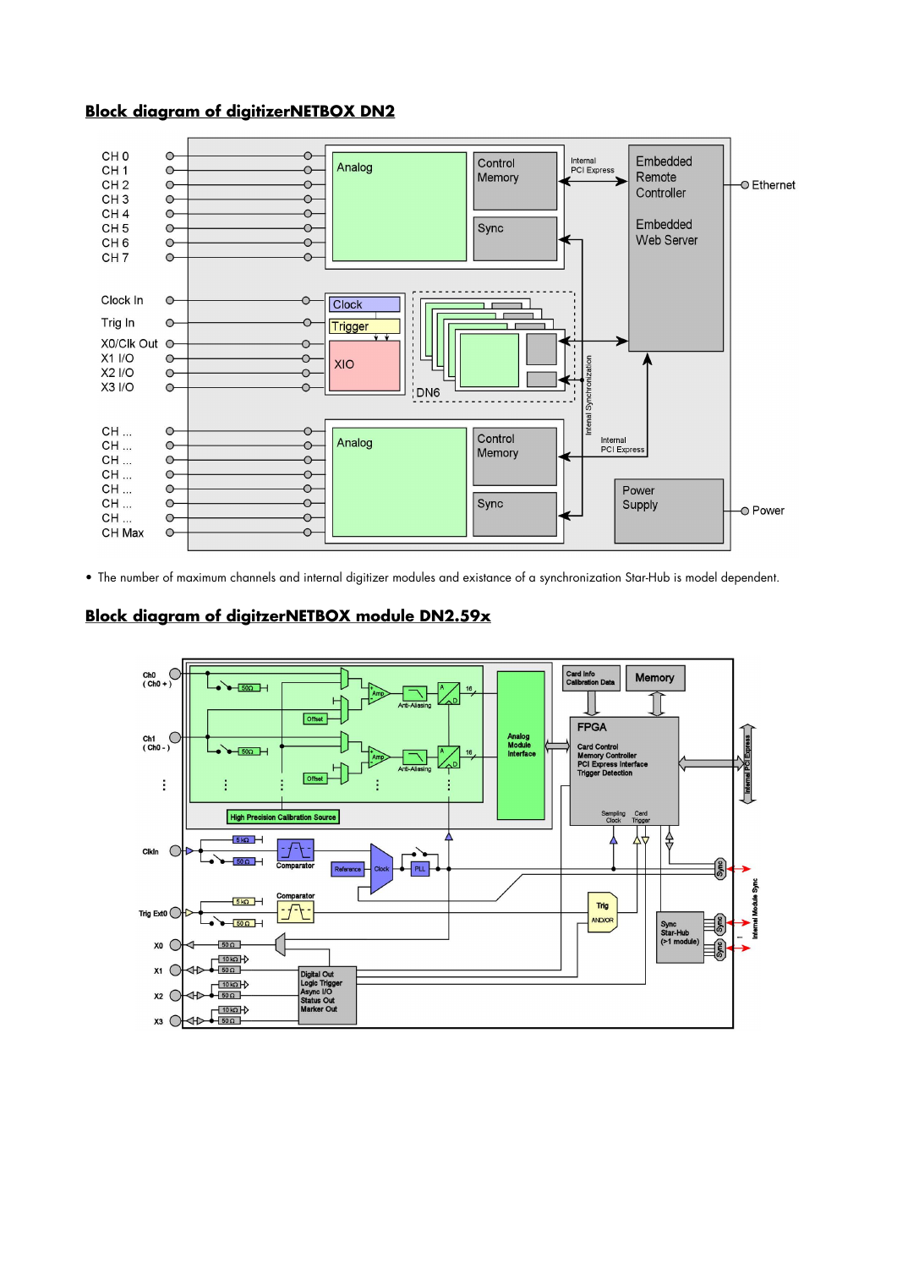# **Block diagram of digitizerNETBOX DN2**



• The number of maximum channels and internal digitizer modules and existance of a synchronization Star-Hub is model dependent.

# **Block diagram of digitzerNETBOX module DN2.59x**